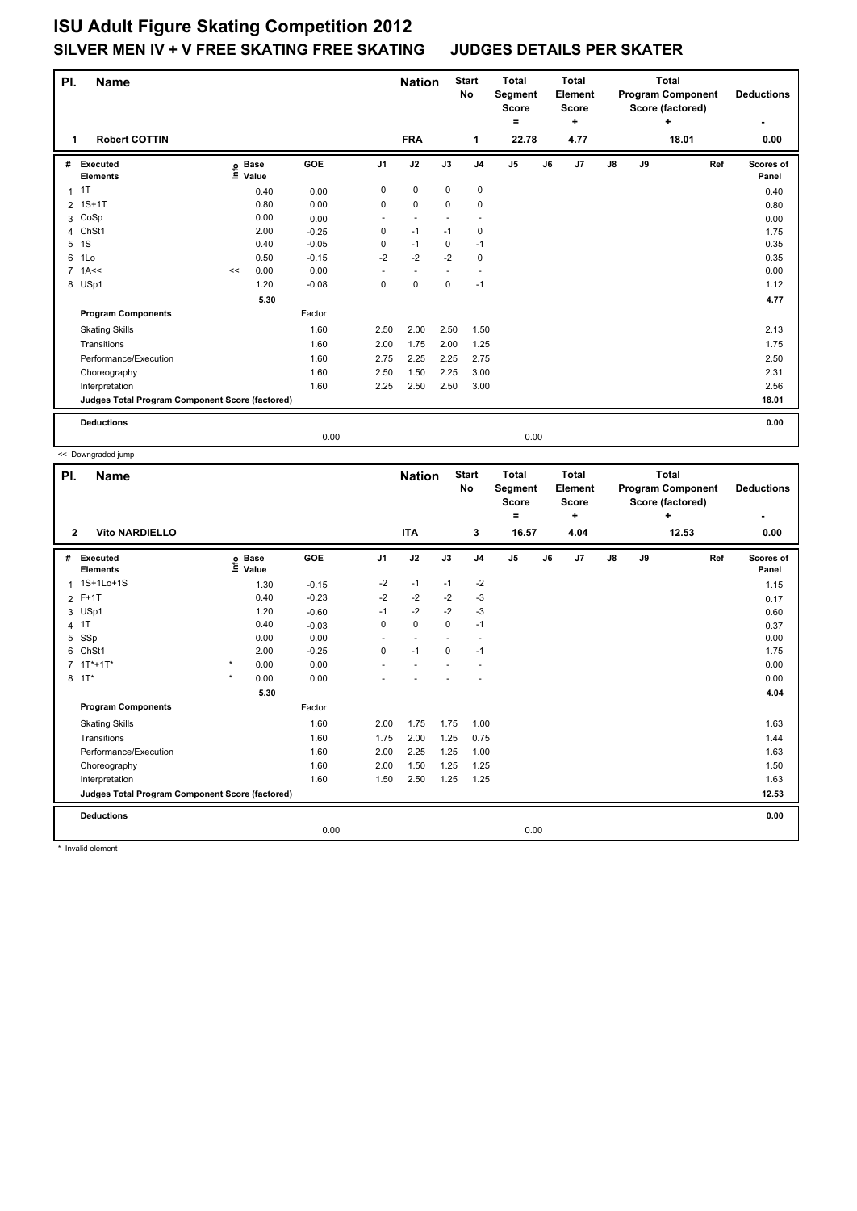## **ISU Adult Figure Skating Competition 2012 SILVER MEN IV + V FREE SKATING FREE SKATING JUDGES DETAILS PER SKATER**

| PI.                                             | <b>Name</b>                 |    |                      | <b>Start</b><br><b>Nation</b><br>No |                | <b>Total</b><br>Segment<br><b>Score</b><br>٠ |             | <b>Total</b><br>Element<br><b>Score</b><br>٠ |                | <b>Total</b><br><b>Program Component</b><br>Score (factored)<br>÷ |      |    | <b>Deductions</b> |       |       |                    |
|-------------------------------------------------|-----------------------------|----|----------------------|-------------------------------------|----------------|----------------------------------------------|-------------|----------------------------------------------|----------------|-------------------------------------------------------------------|------|----|-------------------|-------|-------|--------------------|
| 1.                                              | <b>Robert COTTIN</b>        |    |                      |                                     |                | <b>FRA</b>                                   |             | 1                                            | 22.78          |                                                                   | 4.77 |    |                   | 18.01 |       | 0.00               |
| #                                               | Executed<br><b>Elements</b> | e  | <b>Base</b><br>Value | GOE                                 | J <sub>1</sub> | J2                                           | J3          | J <sub>4</sub>                               | J <sub>5</sub> | J6                                                                | J7   | J8 | J9                |       | Ref   | Scores of<br>Panel |
| $\mathbf{1}$                                    | 1T                          |    | 0.40                 | 0.00                                | 0              | $\mathbf 0$                                  | $\mathbf 0$ | $\mathbf 0$                                  |                |                                                                   |      |    |                   |       |       | 0.40               |
|                                                 | 2 1S+1T                     |    | 0.80                 | 0.00                                | 0              | $\mathbf 0$                                  | $\mathbf 0$ | 0                                            |                |                                                                   |      |    |                   |       |       | 0.80               |
| 3                                               | CoSp                        |    | 0.00                 | 0.00                                | ٠              | $\overline{\phantom{a}}$                     |             |                                              |                |                                                                   |      |    |                   |       |       | 0.00               |
| 4                                               | ChSt1                       |    | 2.00                 | $-0.25$                             | 0              | $-1$                                         | $-1$        | 0                                            |                |                                                                   |      |    |                   |       |       | 1.75               |
| 5                                               | 1S                          |    | 0.40                 | $-0.05$                             | 0              | $-1$                                         | 0           | $-1$                                         |                |                                                                   |      |    |                   |       |       | 0.35               |
| 6                                               | 1Lo                         |    | 0.50                 | $-0.15$                             | $-2$           | $-2$                                         | $-2$        | 0                                            |                |                                                                   |      |    |                   |       |       | 0.35               |
|                                                 | $7$ 1A $\leq$               | << | 0.00                 | 0.00                                |                | $\overline{\phantom{a}}$                     |             | ٠                                            |                |                                                                   |      |    |                   |       |       | 0.00               |
|                                                 | 8 USp1                      |    | 1.20                 | $-0.08$                             | 0              | $\mathbf 0$                                  | $\mathbf 0$ | $-1$                                         |                |                                                                   |      |    |                   |       |       | 1.12               |
|                                                 |                             |    |                      |                                     |                |                                              |             |                                              |                |                                                                   |      |    | 4.77              |       |       |                    |
|                                                 | <b>Program Components</b>   |    |                      | Factor                              |                |                                              |             |                                              |                |                                                                   |      |    |                   |       |       |                    |
|                                                 | <b>Skating Skills</b>       |    |                      | 1.60                                | 2.50           | 2.00                                         | 2.50        | 1.50                                         |                |                                                                   |      |    |                   |       |       | 2.13               |
|                                                 | Transitions                 |    |                      | 1.60                                | 2.00           | 1.75                                         | 2.00        | 1.25                                         |                |                                                                   |      |    |                   |       |       | 1.75               |
|                                                 | Performance/Execution       |    |                      | 1.60                                | 2.75           | 2.25                                         | 2.25        | 2.75                                         |                |                                                                   |      |    |                   |       |       | 2.50               |
|                                                 | Choreography                |    |                      | 1.60                                | 2.50           | 1.50                                         | 2.25        | 3.00                                         |                |                                                                   |      |    |                   |       |       | 2.31               |
|                                                 | Interpretation              |    |                      | 1.60                                | 2.25           | 2.50                                         | 2.50        | 3.00                                         |                |                                                                   |      |    |                   |       |       | 2.56               |
| Judges Total Program Component Score (factored) |                             |    |                      |                                     |                |                                              |             |                                              |                |                                                                   |      |    |                   |       | 18.01 |                    |
|                                                 | <b>Deductions</b>           |    |                      |                                     |                |                                              |             |                                              |                |                                                                   |      |    |                   |       |       | 0.00               |
|                                                 |                             |    |                      | 0.00                                |                |                                              |             |                                              | 0.00           |                                                                   |      |    |                   |       |       |                    |

|                                       | << Downgraded jump                              |         |                                  |         |                |            |                           |                                                     |                |                                                      |                                                                   |               |    |                   |                    |
|---------------------------------------|-------------------------------------------------|---------|----------------------------------|---------|----------------|------------|---------------------------|-----------------------------------------------------|----------------|------------------------------------------------------|-------------------------------------------------------------------|---------------|----|-------------------|--------------------|
| PI.<br><b>Name</b>                    |                                                 |         |                                  |         | <b>Nation</b>  |            | <b>Start</b><br><b>No</b> | <b>Total</b><br>Segment<br><b>Score</b><br>$\equiv$ |                | <b>Total</b><br>Element<br><b>Score</b><br>$\ddot{}$ | <b>Total</b><br><b>Program Component</b><br>Score (factored)<br>÷ |               |    | <b>Deductions</b> |                    |
| <b>Vito NARDIELLO</b><br>$\mathbf{2}$ |                                                 |         |                                  |         |                | <b>ITA</b> |                           | 3                                                   | 16.57          |                                                      | 4.04                                                              |               |    | 12.53             | 0.00               |
| #                                     | Executed<br><b>Elements</b>                     |         | <b>Base</b><br>e Base<br>⊑ Value | GOE     | J <sub>1</sub> | J2         | J3                        | J <sub>4</sub>                                      | J <sub>5</sub> | J6                                                   | J <sub>7</sub>                                                    | $\mathsf{J}8$ | J9 | Ref               | Scores of<br>Panel |
| $\mathbf{1}$                          | 1S+1Lo+1S                                       |         | 1.30                             | $-0.15$ | $-2$           | $-1$       | $-1$                      | $-2$                                                |                |                                                      |                                                                   |               |    |                   | 1.15               |
|                                       | 2 F+1T                                          |         | 0.40                             | $-0.23$ | $-2$           | $-2$       | $-2$                      | $-3$                                                |                |                                                      |                                                                   |               |    |                   | 0.17               |
|                                       | 3 USp1                                          |         | 1.20                             | $-0.60$ | $-1$           | $-2$       | $-2$                      | $-3$                                                |                |                                                      |                                                                   |               |    |                   | 0.60               |
| $\overline{4}$                        | 1T                                              |         | 0.40                             | $-0.03$ | 0              | $\Omega$   | $\Omega$                  | $-1$                                                |                |                                                      |                                                                   |               |    |                   | 0.37               |
| 5                                     | SSp                                             |         | 0.00                             | 0.00    |                | $\sim$     |                           |                                                     |                |                                                      |                                                                   |               |    |                   | 0.00               |
| 6                                     | ChSt1                                           |         | 2.00                             | $-0.25$ | 0              | $-1$       | $\Omega$                  | $-1$                                                |                |                                                      |                                                                   |               |    |                   | 1.75               |
| 7                                     | $1T^* + 1T^*$                                   | $\star$ | 0.00                             | 0.00    |                |            |                           |                                                     |                |                                                      |                                                                   |               |    |                   | 0.00               |
|                                       | 8 1T*                                           | $\star$ | 0.00                             | 0.00    |                |            |                           |                                                     |                |                                                      |                                                                   |               |    |                   | 0.00               |
|                                       | 5.30                                            |         |                                  |         |                |            |                           |                                                     |                |                                                      |                                                                   |               |    |                   | 4.04               |
|                                       | <b>Program Components</b>                       |         |                                  | Factor  |                |            |                           |                                                     |                |                                                      |                                                                   |               |    |                   |                    |
|                                       | <b>Skating Skills</b>                           |         |                                  | 1.60    | 2.00           | 1.75       | 1.75                      | 1.00                                                |                |                                                      |                                                                   |               |    |                   | 1.63               |
|                                       | Transitions                                     |         |                                  | 1.60    | 1.75           | 2.00       | 1.25                      | 0.75                                                |                |                                                      |                                                                   |               |    |                   | 1.44               |
|                                       | Performance/Execution                           |         |                                  | 1.60    | 2.00           | 2.25       | 1.25                      | 1.00                                                |                |                                                      |                                                                   |               |    |                   | 1.63               |
|                                       | Choreography                                    |         |                                  | 1.60    | 2.00           | 1.50       | 1.25                      | 1.25                                                |                |                                                      |                                                                   |               |    |                   | 1.50               |
|                                       | Interpretation                                  |         |                                  | 1.60    | 1.50           | 2.50       | 1.25                      | 1.25                                                |                |                                                      |                                                                   |               |    |                   | 1.63               |
|                                       | Judges Total Program Component Score (factored) |         |                                  |         |                |            |                           |                                                     |                |                                                      |                                                                   | 12.53         |    |                   |                    |
|                                       | <b>Deductions</b>                               |         |                                  |         |                |            |                           |                                                     |                |                                                      |                                                                   |               |    |                   | 0.00               |
|                                       |                                                 |         |                                  | 0.00    |                |            |                           |                                                     |                | 0.00                                                 |                                                                   |               |    |                   |                    |

\* Invalid element